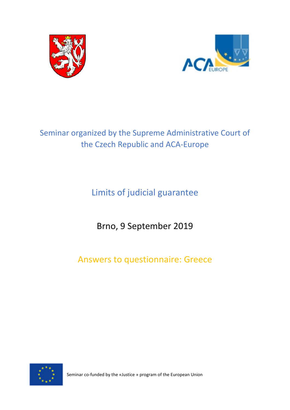



# Seminar organized by the Supreme Administrative Court of the Czech Republic and ACA-Europe

Limits of judicial guarantee

Brno, 9 September 2019

Answers to questionnaire: Greece



Seminar co-funded by the «Justice » program of the European Union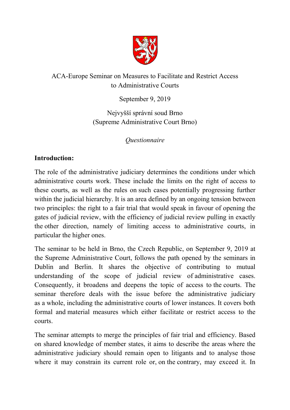

# ACA-Europe Seminar on Measures to Facilitate and Restrict Access to Administrative Courts

September 9, 2019

Nejvyšší správní soud Brno (Supreme Administrative Court Brno)

*Questionnaire*

# **Introduction:**

The role of the administrative judiciary determines the conditions under which administrative courts work. These include the limits on the right of access to these courts, as well as the rules on such cases potentially progressing further within the judicial hierarchy. It is an area defined by an ongoing tension between two principles: the right to a fair trial that would speak in favour of opening the gates of judicial review, with the efficiency of judicial review pulling in exactly the other direction, namely of limiting access to administrative courts, in particular the higher ones.

The seminar to be held in Brno, the Czech Republic, on September 9, 2019 at the Supreme Administrative Court, follows the path opened by the seminars in Dublin and Berlin. It shares the objective of contributing to mutual understanding of the scope of judicial review of administrative cases. Consequently, it broadens and deepens the topic of access to the courts. The seminar therefore deals with the issue before the administrative judiciary as a whole, including the administrative courts of lower instances. It covers both formal and material measures which either facilitate or restrict access to the courts.

The seminar attempts to merge the principles of fair trial and efficiency. Based on shared knowledge of member states, it aims to describe the areas where the administrative judiciary should remain open to litigants and to analyse those where it may constrain its current role or, on the contrary, may exceed it. In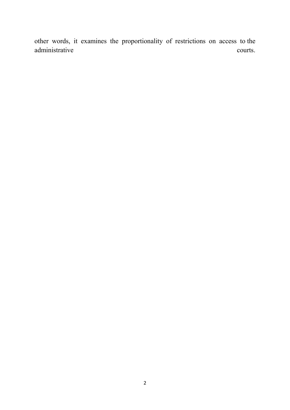other words, it examines the proportionality of restrictions on access to the administrative courts.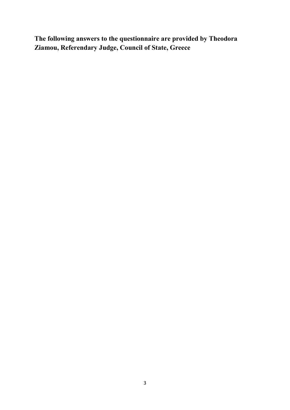**The following answers to the questionnaire are provided by Theodora Ziamou, Referendary Judge, Council of State, Greece**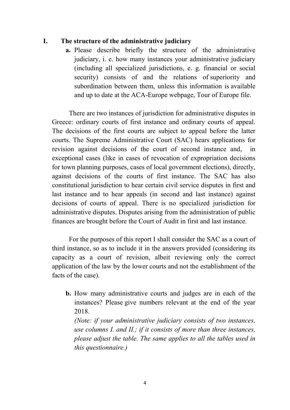## **I. The structure of the administrative judiciary**

**a.** Please describe briefly the structure of the administrative judiciary, i. e. how many instances your administrative judiciary (including all specialized jurisdictions, e. g. financial or social security) consists of and the relations of superiority and subordination between them, unless this information is available and up to date at the ACA-Europe webpage, Tour of Europe file.

There are two instances of jurisdiction for administrative disputes in Greece: ordinary courts of first instance and ordinary courts of appeal. The decisions of the first courts are subject to appeal before the latter courts. The Supreme Administrative Court (SAC) hears applications for revision against decisions of the court of second instance and, in exceptional cases (like in cases of revocation of expropriation decisions for town planning purposes, cases of local government elections), directly, against decisions of the courts of first instance. The SAC has also constitutional jurisdiction to hear certain civil service disputes in first and last instance and to hear appeals (in second and last instance) against decisions of courts of appeal. There is no specialized jurisdiction for administrative disputes. Disputes arising from the administration of public finances are brought before the Court of Audit in first and last instance.

For the purposes of this report I shall consider the SAC as a court of third instance, so as to include it in the answers provided (considering its capacity as a court of revision, albeit reviewing only the correct application of the law by the lower courts and not the establishment of the facts of the case).

**b.** How many administrative courts and judges are in each of the instances? Please give numbers relevant at the end of the year 2018.

*(Note: if your administrative judiciary consists of two instances, use columns I. and II.; if it consists of more than three instances, please adjust the table. The same applies to all the tables used in this questionnaire.)*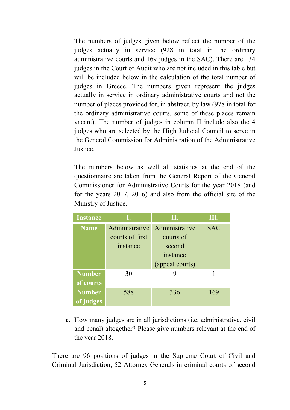The numbers of judges given below reflect the number of the judges actually in service (928 in total in the ordinary administrative courts and 169 judges in the SAC). There are 134 judges in the Court of Audit who are not included in this table but will be included below in the calculation of the total number of judges in Greece. The numbers given represent the judges actually in service in ordinary administrative courts and not the number of places provided for, in abstract, by law (978 in total for the ordinary administrative courts, some of these places remain vacant). The number of judges in column II include also the 4 judges who are selected by the High Judicial Council to serve in the General Commission for Administration of the Administrative Justice.

The numbers below as well all statistics at the end of the questionnaire are taken from the General Report of the General Commissioner for Administrative Courts for the year 2018 (and for the years 2017, 2016) and also from the official site of the Ministry of Justice.

| <b>Instance</b> |                 | П.              | Ш.         |
|-----------------|-----------------|-----------------|------------|
| <b>Name</b>     | Administrative  | Administrative  | <b>SAC</b> |
|                 | courts of first | courts of       |            |
|                 | instance        | second          |            |
|                 |                 | instance        |            |
|                 |                 | (appeal courts) |            |
| <b>Number</b>   | 30              |                 |            |
| of courts       |                 |                 |            |
| <b>Number</b>   | 588             | 336             | 169        |
| of judges       |                 |                 |            |

**c.** How many judges are in all jurisdictions (i.e. administrative, civil and penal) altogether? Please give numbers relevant at the end of the year 2018.

There are 96 positions of judges in the Supreme Court of Civil and Criminal Jurisdiction, 52 Attorney Generals in criminal courts of second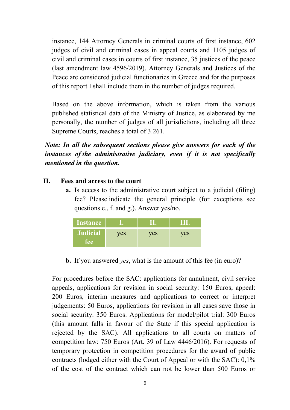instance, 144 Attorney Generals in criminal courts of first instance, 602 judges of civil and criminal cases in appeal courts and 1105 judges of civil and criminal cases in courts of first instance, 35 justices of the peace (last amendment law 4596/2019). Attorney Generals and Justices of the Peace are considered judicial functionaries in Greece and for the purposes of this report I shall include them in the number of judges required.

Based on the above information, which is taken from the various published statistical data of the Ministry of Justice, as elaborated by me personally, the number of judges of all jurisdictions, including all three Supreme Courts, reaches a total of 3.261.

*Note: In all the subsequent sections please give answers for each of the instances of the administrative judiciary, even if it is not specifically mentioned in the question.*

## **II. Fees and access to the court**

**a.** Is access to the administrative court subject to a judicial (filing) fee? Please indicate the general principle (for exceptions see questions e., f. and g.). Answer yes/no.

| <b>Instance</b>        |     |     |     |
|------------------------|-----|-----|-----|
| <b>Judicial</b><br>ree | yes | ves | ves |

**b.** If you answered *yes*, what is the amount of this fee (in euro)?

For procedures before the SAC: applications for annulment, civil service appeals, applications for revision in social security: 150 Euros, appeal: 200 Euros, interim measures and applications to correct or interpret judgements: 50 Euros, applications for revision in all cases save those in social security: 350 Euros. Applications for model/pilot trial: 300 Euros (this amount falls in favour of the State if this special application is rejected by the SAC). All applications to all courts on matters of competition law: 750 Euros (Art. 39 of Law 4446/2016). For requests of temporary protection in competition procedures for the award of public contracts (lodged either with the Court of Appeal or with the SAC): 0,1% of the cost of the contract which can not be lower than 500 Euros or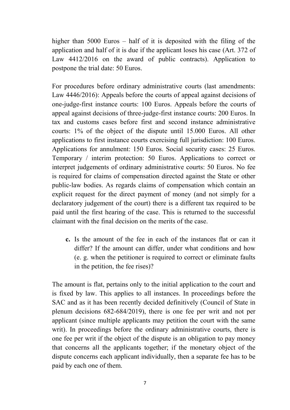higher than 5000 Euros – half of it is deposited with the filing of the application and half of it is due if the applicant loses his case (Art. 372 of Law 4412/2016 on the award of public contracts). Application to postpone the trial date: 50 Euros.

For procedures before ordinary administrative courts (last amendments: Law 4446/2016): Appeals before the courts of appeal against decisions of one-judge-first instance courts: 100 Euros. Appeals before the courts of appeal against decisions of three-judge-first instance courts: 200 Euros. In tax and customs cases before first and second instance administrative courts: 1% of the object of the dispute until 15.000 Euros. All other applications to first instance courts exercising full jurisdiction: 100 Euros. Applications for annulment: 150 Euros. Social security cases: 25 Euros. Temporary / interim protection: 50 Euros. Applications to correct or interpret judgements of ordinary administrative courts: 50 Euros. No fee is required for claims of compensation directed against the State or other public-law bodies. As regards claims of compensation which contain an explicit request for the direct payment of money (and not simply for a declaratory judgement of the court) there is a different tax required to be paid until the first hearing of the case. This is returned to the successful claimant with the final decision on the merits of the case.

**c.** Is the amount of the fee in each of the instances flat or can it differ? If the amount can differ, under what conditions and how (e. g. when the petitioner is required to correct or eliminate faults in the petition, the fee rises)?

The amount is flat, pertains only to the initial application to the court and is fixed by law. This applies to all instances. In proceedings before the SAC and as it has been recently decided definitively (Council of State in plenum decisions 682-684/2019), there is one fee per writ and not per applicant (since multiple applicants may petition the court with the same writ). In proceedings before the ordinary administrative courts, there is one fee per writ if the object of the dispute is an obligation to pay money that concerns all the applicants together; if the monetary object of the dispute concerns each applicant individually, then a separate fee has to be paid by each one of them.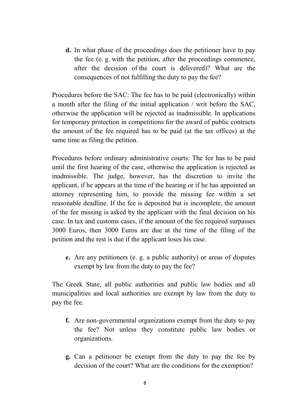**d.** In what phase of the proceedings does the petitioner have to pay the fee (e. g. with the petition, after the proceedings commence, after the decision of the court is delivered)? What are the consequences of not fulfilling the duty to pay the fee?

Procedures before the SAC: The fee has to be paid (electronically) within a month after the filing of the initial application / writ before the SAC, otherwise the application will be rejected as inadmissible. In applications for temporary protection in competitions for the award of public contracts the amount of the fee required has to be paid (at the tax offices) at the same time as filing the petition.

Procedures before ordinary administrative courts: The fee has to be paid until the first hearing of the case, otherwise the application is rejected as inadmissible. The judge, however, has the discretion to invite the applicant, if he appears at the time of the hearing or if he has appointed an attorney representing him, to provide the missing fee within a set reasonable deadline. If the fee is deposited but is incomplete, the amount of the fee missing is asked by the applicant with the final decision on his case. In tax and customs cases, if the amount of the fee required surpasses 3000 Euros, then 3000 Euros are due at the time of the filing of the petition and the rest is due if the applicant loses his case.

**e.** Are any petitioners (e. g. a public authority) or areas of disputes exempt by law from the duty to pay the fee?

The Greek State, all public authorities and public law bodies and all municipalities and local authorities are exempt by law from the duty to pay the fee.

- **f.** Are non-governmental organizations exempt from the duty to pay the fee? Not unless they constitute public law bodies or organizations.
- **g.** Can a petitioner be exempt from the duty to pay the fee by decision of the court? What are the conditions for the exemption?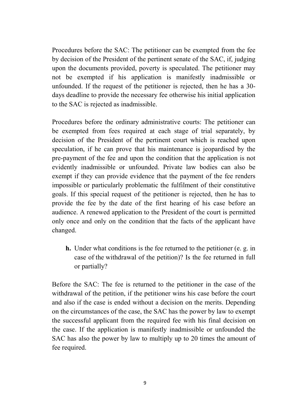Procedures before the SAC: The petitioner can be exempted from the fee by decision of the President of the pertinent senate of the SAC, if, judging upon the documents provided, poverty is speculated. The petitioner may not be exempted if his application is manifestly inadmissible or unfounded. If the request of the petitioner is rejected, then he has a 30 days deadline to provide the necessary fee otherwise his initial application to the SAC is rejected as inadmissible.

Procedures before the ordinary administrative courts: The petitioner can be exempted from fees required at each stage of trial separately, by decision of the President of the pertinent court which is reached upon speculation, if he can prove that his maintenance is jeopardised by the pre-payment of the fee and upon the condition that the application is not evidently inadmissible or unfounded. Private law bodies can also be exempt if they can provide evidence that the payment of the fee renders impossible or particularly problematic the fulfilment of their constitutive goals. If this special request of the petitioner is rejected, then he has to provide the fee by the date of the first hearing of his case before an audience. A renewed application to the President of the court is permitted only once and only on the condition that the facts of the applicant have changed.

**h.** Under what conditions is the fee returned to the petitioner (e. g. in case of the withdrawal of the petition)? Is the fee returned in full or partially?

Before the SAC: The fee is returned to the petitioner in the case of the withdrawal of the petition, if the petitioner wins his case before the court and also if the case is ended without a decision on the merits. Depending on the circumstances of the case, the SAC has the power by law to exempt the successful applicant from the required fee with his final decision on the case. If the application is manifestly inadmissible or unfounded the SAC has also the power by law to multiply up to 20 times the amount of fee required.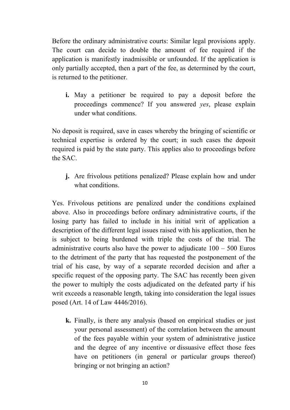Before the ordinary administrative courts: Similar legal provisions apply. The court can decide to double the amount of fee required if the application is manifestly inadmissible or unfounded. If the application is only partially accepted, then a part of the fee, as determined by the court, is returned to the petitioner.

**i.** May a petitioner be required to pay a deposit before the proceedings commence? If you answered *yes*, please explain under what conditions.

No deposit is required, save in cases whereby the bringing of scientific or technical expertise is ordered by the court; in such cases the deposit required is paid by the state party. This applies also to proceedings before the SAC.

**j.** Are frivolous petitions penalized? Please explain how and under what conditions.

Yes. Frivolous petitions are penalized under the conditions explained above. Also in proceedings before ordinary administrative courts, if the losing party has failed to include in his initial writ of application a description of the different legal issues raised with his application, then he is subject to being burdened with triple the costs of the trial. The administrative courts also have the power to adjudicate  $100 - 500$  Euros to the detriment of the party that has requested the postponement of the trial of his case, by way of a separate recorded decision and after a specific request of the opposing party. The SAC has recently been given the power to multiply the costs adjudicated on the defeated party if his writ exceeds a reasonable length, taking into consideration the legal issues posed (Art. 14 of Law 4446/2016).

**k.** Finally, is there any analysis (based on empirical studies or just your personal assessment) of the correlation between the amount of the fees payable within your system of administrative justice and the degree of any incentive or dissuasive effect those fees have on petitioners (in general or particular groups thereof) bringing or not bringing an action?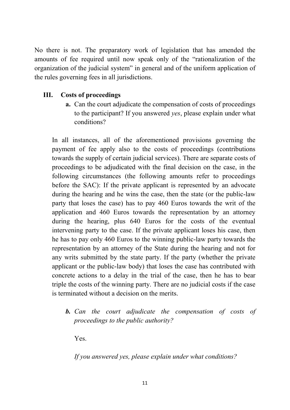No there is not. The preparatory work of legislation that has amended the amounts of fee required until now speak only of the "rationalization of the organization of the judicial system" in general and of the uniform application of the rules governing fees in all jurisdictions.

# **III. Costs of proceedings**

**a.** Can the court adjudicate the compensation of costs of proceedings to the participant? If you answered *yes*, please explain under what conditions?

In all instances, all of the aforementioned provisions governing the payment of fee apply also to the costs of proceedings (contributions towards the supply of certain judicial services). There are separate costs of proceedings to be adjudicated with the final decision on the case, in the following circumstances (the following amounts refer to proceedings before the SAC): If the private applicant is represented by an advocate during the hearing and he wins the case, then the state (or the public-law party that loses the case) has to pay 460 Euros towards the writ of the application and 460 Euros towards the representation by an attorney during the hearing, plus 640 Euros for the costs of the eventual intervening party to the case. If the private applicant loses his case, then he has to pay only 460 Euros to the winning public-law party towards the representation by an attorney of the State during the hearing and not for any writs submitted by the state party. If the party (whether the private applicant or the public-law body) that loses the case has contributed with concrete actions to a delay in the trial of the case, then he has to bear triple the costs of the winning party. There are no judicial costs if the case is terminated without a decision on the merits.

*b. Can the court adjudicate the compensation of costs of proceedings to the public authority?* 

Yes.

*If you answered yes, please explain under what conditions?*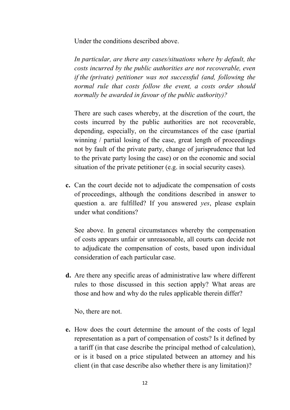Under the conditions described above.

*In particular, are there any cases/situations where by default, the costs incurred by the public authorities are not recoverable, even if the (private) petitioner was not successful (and, following the normal rule that costs follow the event, a costs order should normally be awarded in favour of the public authority)?* 

There are such cases whereby, at the discretion of the court, the costs incurred by the public authorities are not recoverable, depending, especially, on the circumstances of the case (partial winning / partial losing of the case, great length of proceedings not by fault of the private party, change of jurisprudence that led to the private party losing the case) or on the economic and social situation of the private petitioner (e.g. in social security cases).

**c.** Can the court decide not to adjudicate the compensation of costs of proceedings, although the conditions described in answer to question a. are fulfilled? If you answered *yes*, please explain under what conditions?

See above. In general circumstances whereby the compensation of costs appears unfair or unreasonable, all courts can decide not to adjudicate the compensation of costs, based upon individual consideration of each particular case.

**d.** Are there any specific areas of administrative law where different rules to those discussed in this section apply? What areas are those and how and why do the rules applicable therein differ?

No, there are not.

**e.** How does the court determine the amount of the costs of legal representation as a part of compensation of costs? Is it defined by a tariff (in that case describe the principal method of calculation), or is it based on a price stipulated between an attorney and his client (in that case describe also whether there is any limitation)?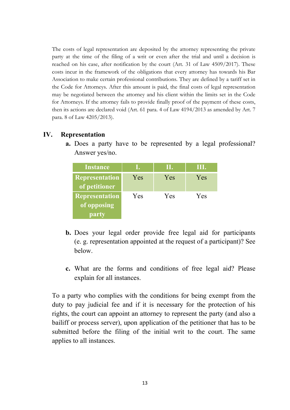The costs of legal representation are deposited by the attorney representing the private party at the time of the filing of a writ or even after the trial and until a decision is reached on his case, after notification by the court (Art. 31 of Law 4509/2017). These costs incur in the framework of the obligations that every attorney has towards his Bar Association to make certain professional contributions. They are defined by a tariff set in the Code for Attorneys. After this amount is paid, the final costs of legal representation may be negotiated between the attorney and his client within the limits set in the Code for Attorneys. If the attorney fails to provide finally proof of the payment of these costs, then its actions are declared void (Art. 61 para. 4 of Law 4194/2013 as amended by Art. 7 para. 8 of Law 4205/2013).

#### **IV. Representation**

**a.** Does a party have to be represented by a legal professional? Answer yes/no.

| <b>Instance</b>                        |     | Ш.  | Ш.  |
|----------------------------------------|-----|-----|-----|
| <b>Representation</b><br>of petitioner | Yes | Yes | Yes |
| <b>Representation</b>                  | Yes | Yes | Yes |
| of opposing                            |     |     |     |
| party                                  |     |     |     |

- **b.** Does your legal order provide free legal aid for participants (e. g. representation appointed at the request of a participant)? See below.
- **c.** What are the forms and conditions of free legal aid? Please explain for all instances.

To a party who complies with the conditions for being exempt from the duty to pay judicial fee and if it is necessary for the protection of his rights, the court can appoint an attorney to represent the party (and also a bailiff or process server), upon application of the petitioner that has to be submitted before the filing of the initial writ to the court. The same applies to all instances.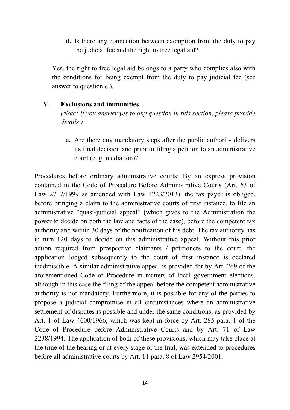**d.** Is there any connection between exemption from the duty to pay the judicial fee and the right to free legal aid?

Yes, the right to free legal aid belongs to a party who complies also with the conditions for being exempt from the duty to pay judicial fee (see answer to question c.).

## **V. Exclusions and immunities**

*(Note: If you answer yes to any question in this section, please provide details.)*

**a.** Are there any mandatory steps after the public authority delivers its final decision and prior to filing a petition to an administrative court (e. g. mediation)?

Procedures before ordinary administrative courts: By an express provision contained in the Code of Procedure Before Administrative Courts (Art. 63 of Law 2717/1999 as amended with Law 4223/2013), the tax payer is obliged, before bringing a claim to the administrative courts of first instance, to file an administrative "quasi-judicial appeal" (which gives to the Administration the power to decide on both the law and facts of the case), before the competent tax authority and within 30 days of the notification of his debt. The tax authority has in turn 120 days to decide on this administrative appeal. Without this prior action required from prospective claimants / petitioners to the court, the application lodged subsequently to the court of first instance is declared inadmissible. A similar administrative appeal is provided for by Art. 269 of the aforementioned Code of Procedure in matters of local government elections, although in this case the filing of the appeal before the competent administrative authority is not mandatory. Furthermore, it is possible for any of the parties to propose a judicial compromise in all circumstances where an administrative settlement of disputes is possible and under the same conditions, as provided by Art. 1 of Law 4600/1966, which was kept in force by Art. 285 para. 1 of the Code of Procedure before Administrative Courts and by Art. 71 of Law 2238/1994. The application of both of these provisions, which may take place at the time of the hearing or at every stage of the trial, was extended to procedures before all administrative courts by Art. 11 para. 8 of Law 2954/2001.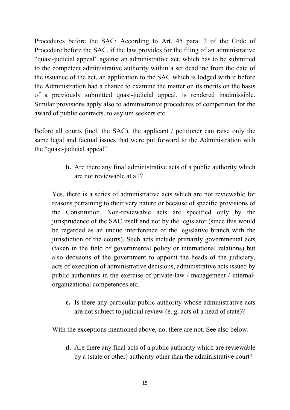Procedures before the SAC: According to Art. 45 para. 2 of the Code of Procedure before the SAC, if the law provides for the filing of an administrative "quasi-judicial appeal" against an administrative act, which has to be submitted to the competent administrative authority within a set deadline from the date of the issuance of the act, an application to the SAC which is lodged with it before the Administration had a chance to examine the matter on its merits on the basis of a previously submitted quasi-judicial appeal, is rendered inadmissible. Similar provisions apply also to administrative procedures of competition for the award of public contracts, to asylum seekers etc.

Before all courts (incl. the SAC), the applicant / petitioner can raise only the same legal and factual issues that were put forward to the Administration with the "quasi-judicial appeal".

> **b.** Are there any final administrative acts of a public authority which are not reviewable at all?

Yes, there is a series of administrative acts which are not reviewable for reasons pertaining to their very nature or because of specific provisions of the Constitution. Non-reviewable acts are specified only by the jurisprudence of the SAC itself and not by the legislator (since this would be regarded as an undue interference of the legislative branch with the jurisdiction of the courts). Such acts include primarily governmental acts (taken in the field of governmental policy or international relations) but also decisions of the government to appoint the heads of the judiciary, acts of execution of administrative decisions, administrative acts issued by public authorities in the exercise of private-law / management / internalorganizational competences etc.

**c.** Is there any particular public authority whose administrative acts are not subject to judicial review (e. g. acts of a head of state)?

With the exceptions mentioned above, no, there are not. See also below.

**d.** Are there any final acts of a public authority which are reviewable by a (state or other) authority other than the administrative court?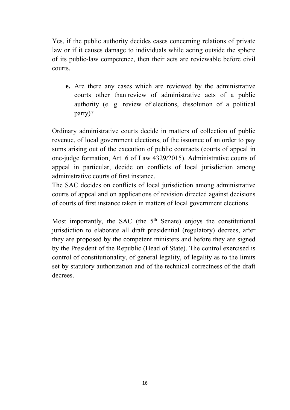Yes, if the public authority decides cases concerning relations of private law or if it causes damage to individuals while acting outside the sphere of its public-law competence, then their acts are reviewable before civil courts.

**e.** Are there any cases which are reviewed by the administrative courts other than review of administrative acts of a public authority (e. g. review of elections, dissolution of a political party)?

Ordinary administrative courts decide in matters of collection of public revenue, of local government elections, of the issuance of an order to pay sums arising out of the execution of public contracts (courts of appeal in one-judge formation, Art. 6 of Law 4329/2015). Administrative courts of appeal in particular, decide on conflicts of local jurisdiction among administrative courts of first instance.

The SAC decides on conflicts of local jurisdiction among administrative courts of appeal and on applications of revision directed against decisions of courts of first instance taken in matters of local government elections.

Most importantly, the SAC (the  $5<sup>th</sup>$  Senate) enjoys the constitutional jurisdiction to elaborate all draft presidential (regulatory) decrees, after they are proposed by the competent ministers and before they are signed by the President of the Republic (Head of State). The control exercised is control of constitutionality, of general legality, of legality as to the limits set by statutory authorization and of the technical correctness of the draft decrees.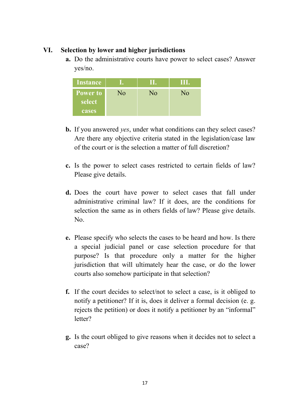## **VI. Selection by lower and higher jurisdictions**

**a.** Do the administrative courts have power to select cases? Answer yes/no.

| <b>Instance</b> |    |    | III. |
|-----------------|----|----|------|
| <b>Power to</b> | No | No | No   |
| select          |    |    |      |
| cases           |    |    |      |

- **b.** If you answered *yes*, under what conditions can they select cases? Are there any objective criteria stated in the legislation/case law of the court or is the selection a matter of full discretion?
- **c.** Is the power to select cases restricted to certain fields of law? Please give details.
- **d.** Does the court have power to select cases that fall under administrative criminal law? If it does, are the conditions for selection the same as in others fields of law? Please give details. No.
- **e.** Please specify who selects the cases to be heard and how. Is there a special judicial panel or case selection procedure for that purpose? Is that procedure only a matter for the higher jurisdiction that will ultimately hear the case, or do the lower courts also somehow participate in that selection?
- **f.** If the court decides to select/not to select a case, is it obliged to notify a petitioner? If it is, does it deliver a formal decision (e. g. rejects the petition) or does it notify a petitioner by an "informal" letter?
- **g.** Is the court obliged to give reasons when it decides not to select a case?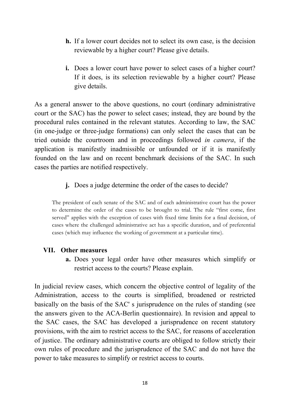- **h.** If a lower court decides not to select its own case, is the decision reviewable by a higher court? Please give details.
- **i.** Does a lower court have power to select cases of a higher court? If it does, is its selection reviewable by a higher court? Please give details.

As a general answer to the above questions, no court (ordinary administrative court or the SAC) has the power to select cases; instead, they are bound by the procedural rules contained in the relevant statutes. According to law, the SAC (in one-judge or three-judge formations) can only select the cases that can be tried outside the courtroom and in proceedings followed *in camera*, if the application is manifestly inadmissible or unfounded or if it is manifestly founded on the law and on recent benchmark decisions of the SAC. In such cases the parties are notified respectively.

**j.** Does a judge determine the order of the cases to decide?

The president of each senate of the SAC and of each administrative court has the power to determine the order of the cases to be brought to trial. The rule "first come, first served" applies with the exception of cases with fixed time limits for a final decision, of cases where the challenged administrative act has a specific duration, and of preferential cases (which may influence the working of government at a particular time).

## **VII. Other measures**

**a.** Does your legal order have other measures which simplify or restrict access to the courts? Please explain.

In judicial review cases, which concern the objective control of legality of the Administration, access to the courts is simplified, broadened or restricted basically on the basis of the SAC' s jurisprudence on the rules of standing (see the answers given to the ACA-Berlin questionnaire). In revision and appeal to the SAC cases, the SAC has developed a jurisprudence on recent statutory provisions, with the aim to restrict access to the SAC, for reasons of acceleration of justice. The ordinary administrative courts are obliged to follow strictly their own rules of procedure and the jurisprudence of the SAC and do not have the power to take measures to simplify or restrict access to courts.